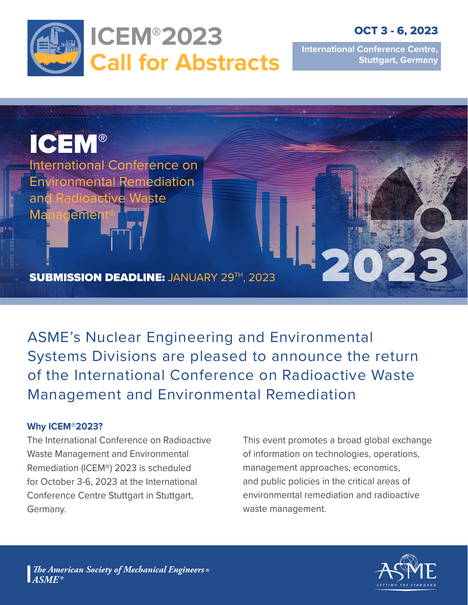

OCT 3 - 6, 2023

**International Conference Centre, Stuttgart, Germany**



ASME's Nuclear Engineering and Environmental Systems Divisions are pleased to announce the return of the International Conference on Radioactive Waste Management and Environmental Remediation

#### **Why ICEM®2023?**

The International Conference on Radioactive Waste Management and Environmental Remediation (ICEM®) 2023 is scheduled for October 3-6, 2023 at the International Conference Centre Stuttgart in Stuttgart, Germany.

This event promotes a broad global exchange of information on technologies, operations, management approaches, economics, and public policies in the critical areas of environmental remediation and radioactive waste management.